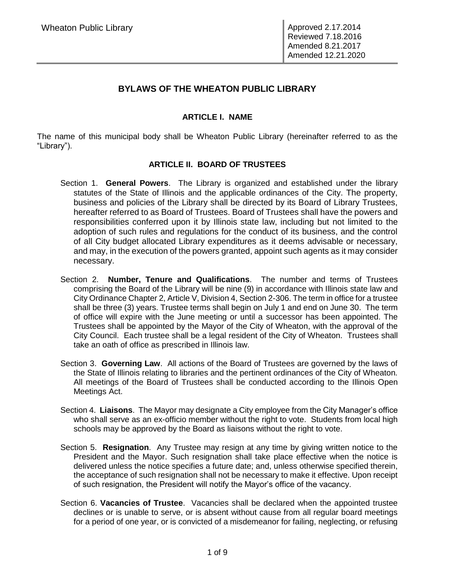# **BYLAWS OF THE WHEATON PUBLIC LIBRARY**

# **ARTICLE I. NAME**

The name of this municipal body shall be Wheaton Public Library (hereinafter referred to as the "Library").

# **ARTICLE II. BOARD OF TRUSTEES**

- Section 1. **General Powers**. The Library is organized and established under the library statutes of the State of Illinois and the applicable ordinances of the City. The property, business and policies of the Library shall be directed by its Board of Library Trustees, hereafter referred to as Board of Trustees. Board of Trustees shall have the powers and responsibilities conferred upon it by Illinois state law, including but not limited to the adoption of such rules and regulations for the conduct of its business, and the control of all City budget allocated Library expenditures as it deems advisable or necessary, and may, in the execution of the powers granted, appoint such agents as it may consider necessary.
- Section 2. **Number, Tenure and Qualifications**. The number and terms of Trustees comprising the Board of the Library will be nine (9) in accordance with Illinois state law and City Ordinance Chapter 2, Article V, Division 4, Section 2-306. The term in office for a trustee shall be three (3) years. Trustee terms shall begin on July 1 and end on June 30. The term of office will expire with the June meeting or until a successor has been appointed. The Trustees shall be appointed by the Mayor of the City of Wheaton, with the approval of the City Council. Each trustee shall be a legal resident of the City of Wheaton. Trustees shall take an oath of office as prescribed in Illinois law.
- Section 3. **Governing Law**. All actions of the Board of Trustees are governed by the laws of the State of Illinois relating to libraries and the pertinent ordinances of the City of Wheaton. All meetings of the Board of Trustees shall be conducted according to the Illinois Open Meetings Act.
- Section 4. **Liaisons**. The Mayor may designate a City employee from the City Manager's office who shall serve as an ex-officio member without the right to vote. Students from local high schools may be approved by the Board as liaisons without the right to vote.
- Section 5. **Resignation**. Any Trustee may resign at any time by giving written notice to the President and the Mayor. Such resignation shall take place effective when the notice is delivered unless the notice specifies a future date; and, unless otherwise specified therein, the acceptance of such resignation shall not be necessary to make it effective. Upon receipt of such resignation, the President will notify the Mayor's office of the vacancy.
- Section 6. **Vacancies of Trustee**. Vacancies shall be declared when the appointed trustee declines or is unable to serve, or is absent without cause from all regular board meetings for a period of one year, or is convicted of a misdemeanor for failing, neglecting, or refusing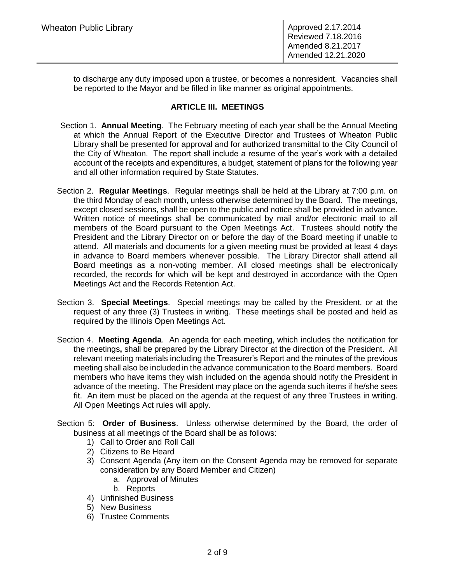to discharge any duty imposed upon a trustee, or becomes a nonresident. Vacancies shall be reported to the Mayor and be filled in like manner as original appointments.

### **ARTICLE III. MEETINGS**

- Section 1. **Annual Meeting**. The February meeting of each year shall be the Annual Meeting at which the Annual Report of the Executive Director and Trustees of Wheaton Public Library shall be presented for approval and for authorized transmittal to the City Council of the City of Wheaton. The report shall include a resume of the year's work with a detailed account of the receipts and expenditures, a budget, statement of plans for the following year and all other information required by State Statutes.
- Section 2. **Regular Meetings**. Regular meetings shall be held at the Library at 7:00 p.m. on the third Monday of each month, unless otherwise determined by the Board. The meetings, except closed sessions, shall be open to the public and notice shall be provided in advance. Written notice of meetings shall be communicated by mail and/or electronic mail to all members of the Board pursuant to the Open Meetings Act. Trustees should notify the President and the Library Director on or before the day of the Board meeting if unable to attend. All materials and documents for a given meeting must be provided at least 4 days in advance to Board members whenever possible. The Library Director shall attend all Board meetings as a non-voting member. All closed meetings shall be electronically recorded, the records for which will be kept and destroyed in accordance with the Open Meetings Act and the Records Retention Act.
- Section 3. **Special Meetings**. Special meetings may be called by the President, or at the request of any three (3) Trustees in writing. These meetings shall be posted and held as required by the Illinois Open Meetings Act.
- Section 4. **Meeting Agenda**. An agenda for each meeting, which includes the notification for the meetings**,** shall be prepared by the Library Director at the direction of the President. All relevant meeting materials including the Treasurer's Report and the minutes of the previous meeting shall also be included in the advance communication to the Board members. Board members who have items they wish included on the agenda should notify the President in advance of the meeting. The President may place on the agenda such items if he/she sees fit. An item must be placed on the agenda at the request of any three Trustees in writing. All Open Meetings Act rules will apply.
- Section 5: **Order of Business**. Unless otherwise determined by the Board, the order of business at all meetings of the Board shall be as follows:
	- 1) Call to Order and Roll Call
	- 2) Citizens to Be Heard
	- 3) Consent Agenda (Any item on the Consent Agenda may be removed for separate consideration by any Board Member and Citizen)
		- a. Approval of Minutes
		- b. Reports
	- 4) Unfinished Business
	- 5) New Business
	- 6) Trustee Comments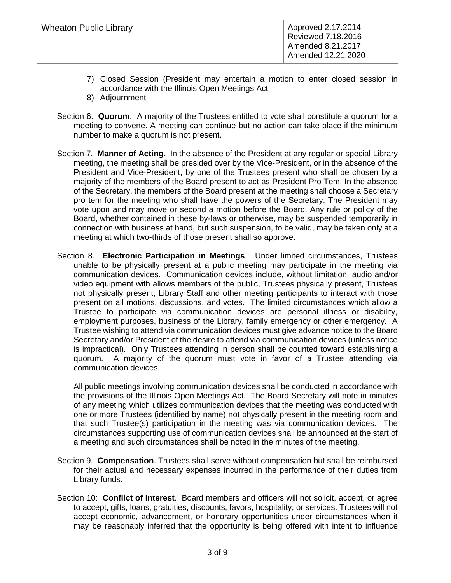- 7) Closed Session (President may entertain a motion to enter closed session in accordance with the Illinois Open Meetings Act
- 8) Adjournment
- Section 6. **Quorum**. A majority of the Trustees entitled to vote shall constitute a quorum for a meeting to convene. A meeting can continue but no action can take place if the minimum number to make a quorum is not present.
- Section 7. **Manner of Acting**. In the absence of the President at any regular or special Library meeting, the meeting shall be presided over by the Vice-President, or in the absence of the President and Vice-President, by one of the Trustees present who shall be chosen by a majority of the members of the Board present to act as President Pro Tem. In the absence of the Secretary, the members of the Board present at the meeting shall choose a Secretary pro tem for the meeting who shall have the powers of the Secretary. The President may vote upon and may move or second a motion before the Board. Any rule or policy of the Board, whether contained in these by-laws or otherwise, may be suspended temporarily in connection with business at hand, but such suspension, to be valid, may be taken only at a meeting at which two-thirds of those present shall so approve.
- Section 8. **Electronic Participation in Meetings**. Under limited circumstances, Trustees unable to be physically present at a public meeting may participate in the meeting via communication devices. Communication devices include, without limitation, audio and/or video equipment with allows members of the public, Trustees physically present, Trustees not physically present, Library Staff and other meeting participants to interact with those present on all motions, discussions, and votes. The limited circumstances which allow a Trustee to participate via communication devices are personal illness or disability, employment purposes, business of the Library, family emergency or other emergency. A Trustee wishing to attend via communication devices must give advance notice to the Board Secretary and/or President of the desire to attend via communication devices (unless notice is impractical). Only Trustees attending in person shall be counted toward establishing a quorum. A majority of the quorum must vote in favor of a Trustee attending via communication devices.

All public meetings involving communication devices shall be conducted in accordance with the provisions of the Illinois Open Meetings Act. The Board Secretary will note in minutes of any meeting which utilizes communication devices that the meeting was conducted with one or more Trustees (identified by name) not physically present in the meeting room and that such Trustee(s) participation in the meeting was via communication devices. The circumstances supporting use of communication devices shall be announced at the start of a meeting and such circumstances shall be noted in the minutes of the meeting.

- Section 9. **Compensation**. Trustees shall serve without compensation but shall be reimbursed for their actual and necessary expenses incurred in the performance of their duties from Library funds.
- Section 10: **Conflict of Interest**. Board members and officers will not solicit, accept, or agree to accept, gifts, loans, gratuities, discounts, favors, hospitality, or services. Trustees will not accept economic, advancement, or honorary opportunities under circumstances when it may be reasonably inferred that the opportunity is being offered with intent to influence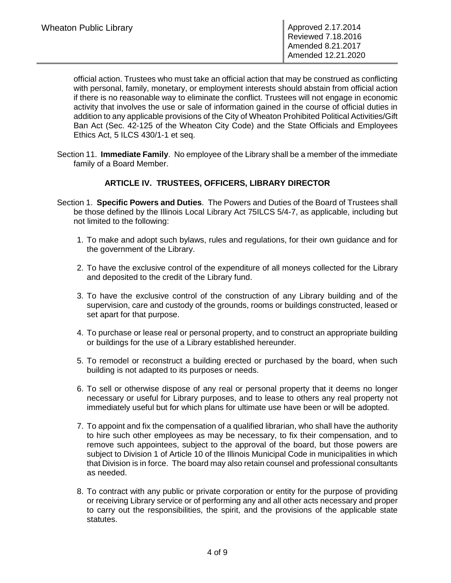official action. Trustees who must take an official action that may be construed as conflicting with personal, family, monetary, or employment interests should abstain from official action if there is no reasonable way to eliminate the conflict. Trustees will not engage in economic activity that involves the use or sale of information gained in the course of official duties in addition to any applicable provisions of the City of Wheaton Prohibited Political Activities/Gift Ban Act (Sec. 42-125 of the Wheaton City Code) and the State Officials and Employees Ethics Act, 5 ILCS 430/1-1 et seq.

Section 11. **Immediate Family**. No employee of the Library shall be a member of the immediate family of a Board Member.

#### **ARTICLE IV. TRUSTEES, OFFICERS, LIBRARY DIRECTOR**

- Section 1. **Specific Powers and Duties**. The Powers and Duties of the Board of Trustees shall be those defined by the Illinois Local Library Act 75ILCS 5/4-7, as applicable, including but not limited to the following:
	- 1. To make and adopt such bylaws, rules and regulations, for their own guidance and for the government of the Library.
	- 2. To have the exclusive control of the expenditure of all moneys collected for the Library and deposited to the credit of the Library fund.
	- 3. To have the exclusive control of the construction of any Library building and of the supervision, care and custody of the grounds, rooms or buildings constructed, leased or set apart for that purpose.
	- 4. To purchase or lease real or personal property, and to construct an appropriate building or buildings for the use of a Library established hereunder.
	- 5. To remodel or reconstruct a building erected or purchased by the board, when such building is not adapted to its purposes or needs.
	- 6. To sell or otherwise dispose of any real or personal property that it deems no longer necessary or useful for Library purposes, and to lease to others any real property not immediately useful but for which plans for ultimate use have been or will be adopted.
	- 7. To appoint and fix the compensation of a qualified librarian, who shall have the authority to hire such other employees as may be necessary, to fix their compensation, and to remove such appointees, subject to the approval of the board, but those powers are subject to Division 1 of Article 10 of the Illinois Municipal Code in municipalities in which that Division is in force. The board may also retain counsel and professional consultants as needed.
	- 8. To contract with any public or private corporation or entity for the purpose of providing or receiving Library service or of performing any and all other acts necessary and proper to carry out the responsibilities, the spirit, and the provisions of the applicable state statutes.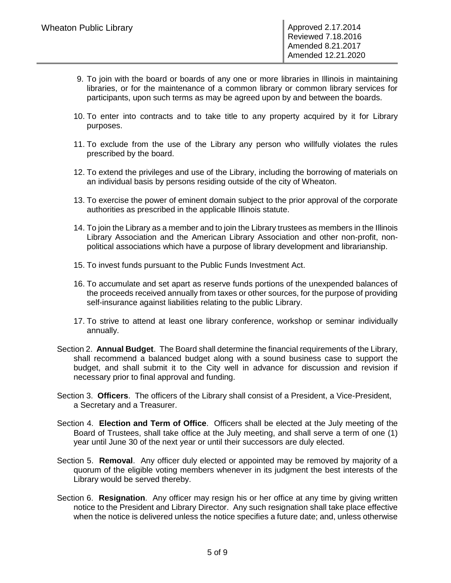- 9. To join with the board or boards of any one or more libraries in Illinois in maintaining libraries, or for the maintenance of a common library or common library services for participants, upon such terms as may be agreed upon by and between the boards.
- 10. To enter into contracts and to take title to any property acquired by it for Library purposes.
- 11. To exclude from the use of the Library any person who willfully violates the rules prescribed by the board.
- 12. To extend the privileges and use of the Library, including the borrowing of materials on an individual basis by persons residing outside of the city of Wheaton.
- 13. To exercise the power of eminent domain subject to the prior approval of the corporate authorities as prescribed in the applicable Illinois statute.
- 14. To join the Library as a member and to join the Library trustees as members in the Illinois Library Association and the American Library Association and other non-profit, nonpolitical associations which have a purpose of library development and librarianship.
- 15. To invest funds pursuant to the Public Funds Investment Act.
- 16. To accumulate and set apart as reserve funds portions of the unexpended balances of the proceeds received annually from taxes or other sources, for the purpose of providing self-insurance against liabilities relating to the public Library.
- 17. To strive to attend at least one library conference, workshop or seminar individually annually.
- Section 2. **Annual Budget**. The Board shall determine the financial requirements of the Library, shall recommend a balanced budget along with a sound business case to support the budget, and shall submit it to the City well in advance for discussion and revision if necessary prior to final approval and funding.
- Section 3. **Officers**. The officers of the Library shall consist of a President, a Vice-President, a Secretary and a Treasurer.
- Section 4. **Election and Term of Office**. Officers shall be elected at the July meeting of the Board of Trustees, shall take office at the July meeting, and shall serve a term of one (1) year until June 30 of the next year or until their successors are duly elected.
- Section 5. **Removal**. Any officer duly elected or appointed may be removed by majority of a quorum of the eligible voting members whenever in its judgment the best interests of the Library would be served thereby.
- Section 6. **Resignation**. Any officer may resign his or her office at any time by giving written notice to the President and Library Director. Any such resignation shall take place effective when the notice is delivered unless the notice specifies a future date; and, unless otherwise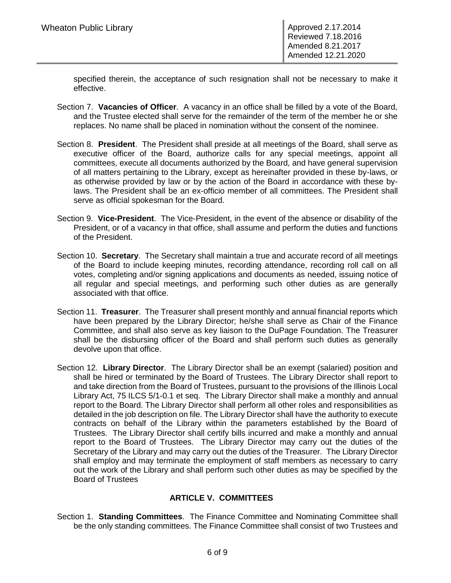specified therein, the acceptance of such resignation shall not be necessary to make it effective.

- Section 7. **Vacancies of Officer**. A vacancy in an office shall be filled by a vote of the Board, and the Trustee elected shall serve for the remainder of the term of the member he or she replaces. No name shall be placed in nomination without the consent of the nominee.
- Section 8. **President**. The President shall preside at all meetings of the Board, shall serve as executive officer of the Board, authorize calls for any special meetings, appoint all committees, execute all documents authorized by the Board, and have general supervision of all matters pertaining to the Library, except as hereinafter provided in these by-laws, or as otherwise provided by law or by the action of the Board in accordance with these bylaws. The President shall be an ex-officio member of all committees. The President shall serve as official spokesman for the Board.
- Section 9. **Vice-President**. The Vice-President, in the event of the absence or disability of the President, or of a vacancy in that office, shall assume and perform the duties and functions of the President.
- Section 10. **Secretary**. The Secretary shall maintain a true and accurate record of all meetings of the Board to include keeping minutes, recording attendance, recording roll call on all votes, completing and/or signing applications and documents as needed, issuing notice of all regular and special meetings, and performing such other duties as are generally associated with that office.
- Section 11. **Treasurer**. The Treasurer shall present monthly and annual financial reports which have been prepared by the Library Director; he/she shall serve as Chair of the Finance Committee, and shall also serve as key liaison to the DuPage Foundation. The Treasurer shall be the disbursing officer of the Board and shall perform such duties as generally devolve upon that office.
- Section 12. **Library Director**. The Library Director shall be an exempt (salaried) position and shall be hired or terminated by the Board of Trustees. The Library Director shall report to and take direction from the Board of Trustees, pursuant to the provisions of the Illinois Local Library Act, 75 ILCS 5/1-0.1 et seq. The Library Director shall make a monthly and annual report to the Board. The Library Director shall perform all other roles and responsibilities as detailed in the job description on file. The Library Director shall have the authority to execute contracts on behalf of the Library within the parameters established by the Board of Trustees. The Library Director shall certify bills incurred and make a monthly and annual report to the Board of Trustees. The Library Director may carry out the duties of the Secretary of the Library and may carry out the duties of the Treasurer. The Library Director shall employ and may terminate the employment of staff members as necessary to carry out the work of the Library and shall perform such other duties as may be specified by the Board of Trustees

# **ARTICLE V. COMMITTEES**

Section 1. **Standing Committees**. The Finance Committee and Nominating Committee shall be the only standing committees. The Finance Committee shall consist of two Trustees and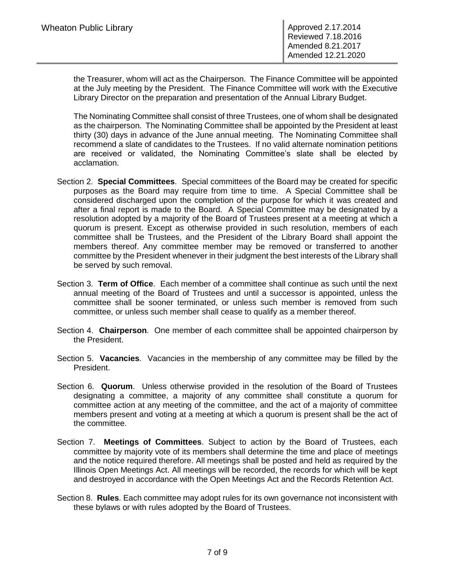the Treasurer, whom will act as the Chairperson. The Finance Committee will be appointed at the July meeting by the President. The Finance Committee will work with the Executive Library Director on the preparation and presentation of the Annual Library Budget.

The Nominating Committee shall consist of three Trustees, one of whom shall be designated as the chairperson. The Nominating Committee shall be appointed by the President at least thirty (30) days in advance of the June annual meeting. The Nominating Committee shall recommend a slate of candidates to the Trustees. If no valid alternate nomination petitions are received or validated, the Nominating Committee's slate shall be elected by acclamation.

- Section 2. **Special Committees**. Special committees of the Board may be created for specific purposes as the Board may require from time to time. A Special Committee shall be considered discharged upon the completion of the purpose for which it was created and after a final report is made to the Board. A Special Committee may be designated by a resolution adopted by a majority of the Board of Trustees present at a meeting at which a quorum is present. Except as otherwise provided in such resolution, members of each committee shall be Trustees, and the President of the Library Board shall appoint the members thereof. Any committee member may be removed or transferred to another committee by the President whenever in their judgment the best interests of the Library shall be served by such removal.
- Section 3. **Term of Office**. Each member of a committee shall continue as such until the next annual meeting of the Board of Trustees and until a successor is appointed, unless the committee shall be sooner terminated, or unless such member is removed from such committee, or unless such member shall cease to qualify as a member thereof.
- Section 4. **Chairperson**. One member of each committee shall be appointed chairperson by the President.
- Section 5. **Vacancies**. Vacancies in the membership of any committee may be filled by the President.
- Section 6. **Quorum**. Unless otherwise provided in the resolution of the Board of Trustees designating a committee, a majority of any committee shall constitute a quorum for committee action at any meeting of the committee, and the act of a majority of committee members present and voting at a meeting at which a quorum is present shall be the act of the committee.
- Section 7. **Meetings of Committees**. Subject to action by the Board of Trustees, each committee by majority vote of its members shall determine the time and place of meetings and the notice required therefore. All meetings shall be posted and held as required by the Illinois Open Meetings Act. All meetings will be recorded, the records for which will be kept and destroyed in accordance with the Open Meetings Act and the Records Retention Act.
- Section 8. **Rules**. Each committee may adopt rules for its own governance not inconsistent with these bylaws or with rules adopted by the Board of Trustees.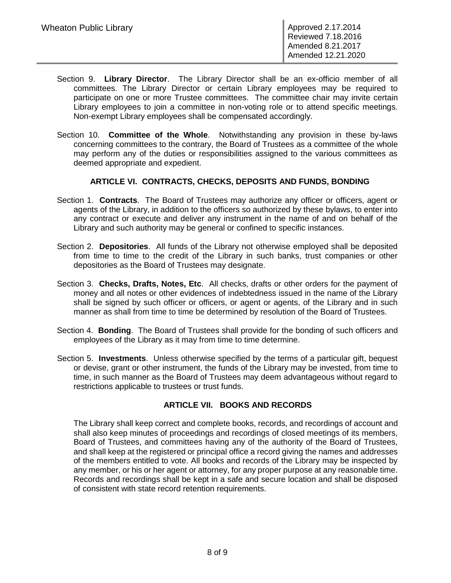- Section 9. **Library Director**. The Library Director shall be an ex-officio member of all committees. The Library Director or certain Library employees may be required to participate on one or more Trustee committees. The committee chair may invite certain Library employees to join a committee in non-voting role or to attend specific meetings. Non-exempt Library employees shall be compensated accordingly.
- Section 10. **Committee of the Whole**. Notwithstanding any provision in these by-laws concerning committees to the contrary, the Board of Trustees as a committee of the whole may perform any of the duties or responsibilities assigned to the various committees as deemed appropriate and expedient.

# **ARTICLE VI. CONTRACTS, CHECKS, DEPOSITS AND FUNDS, BONDING**

- Section 1. **Contracts**. The Board of Trustees may authorize any officer or officers, agent or agents of the Library, in addition to the officers so authorized by these bylaws, to enter into any contract or execute and deliver any instrument in the name of and on behalf of the Library and such authority may be general or confined to specific instances.
- Section 2. **Depositories**. All funds of the Library not otherwise employed shall be deposited from time to time to the credit of the Library in such banks, trust companies or other depositories as the Board of Trustees may designate.
- Section 3. **Checks, Drafts, Notes, Etc**. All checks, drafts or other orders for the payment of money and all notes or other evidences of indebtedness issued in the name of the Library shall be signed by such officer or officers, or agent or agents, of the Library and in such manner as shall from time to time be determined by resolution of the Board of Trustees.
- Section 4. **Bonding**. The Board of Trustees shall provide for the bonding of such officers and employees of the Library as it may from time to time determine.
- Section 5. **Investments**. Unless otherwise specified by the terms of a particular gift, bequest or devise, grant or other instrument, the funds of the Library may be invested, from time to time, in such manner as the Board of Trustees may deem advantageous without regard to restrictions applicable to trustees or trust funds.

# **ARTICLE VII. BOOKS AND RECORDS**

The Library shall keep correct and complete books, records, and recordings of account and shall also keep minutes of proceedings and recordings of closed meetings of its members, Board of Trustees, and committees having any of the authority of the Board of Trustees, and shall keep at the registered or principal office a record giving the names and addresses of the members entitled to vote. All books and records of the Library may be inspected by any member, or his or her agent or attorney, for any proper purpose at any reasonable time. Records and recordings shall be kept in a safe and secure location and shall be disposed of consistent with state record retention requirements.